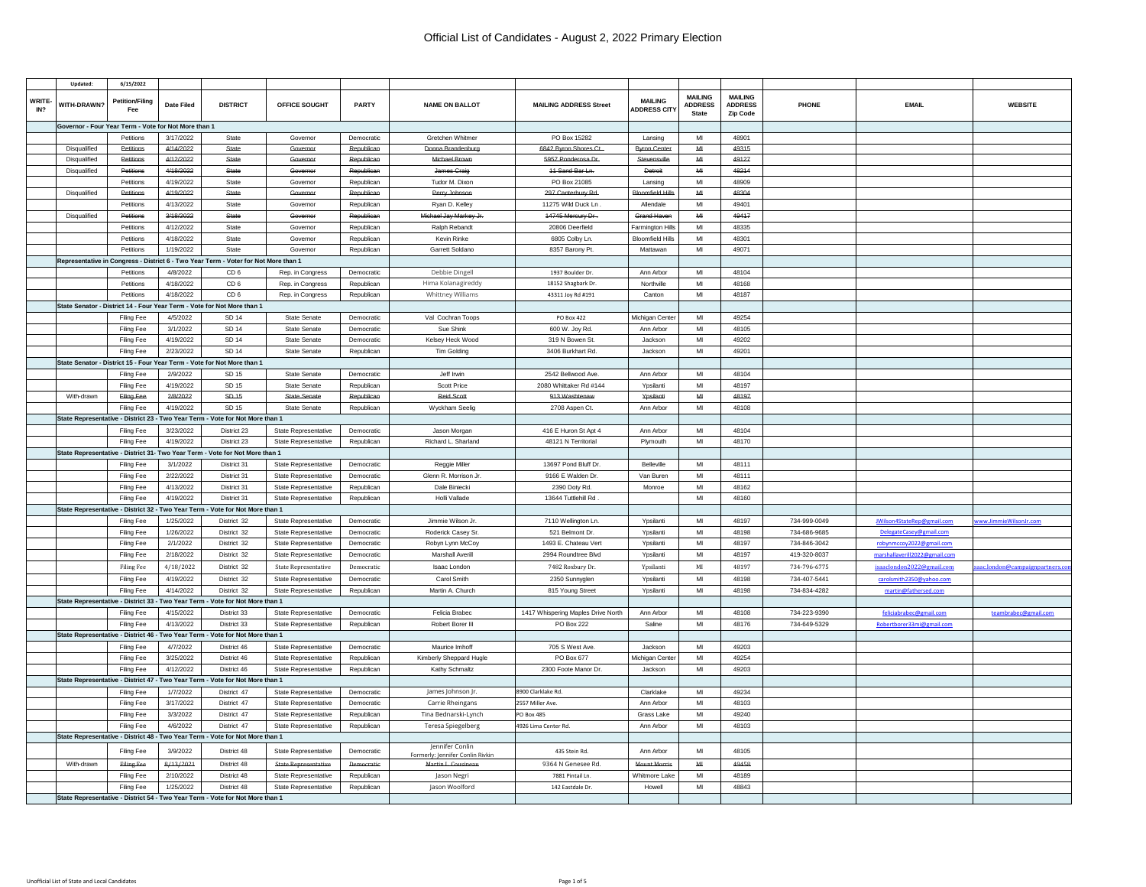|              | Updated            | 6/15/2022                                            |                   |                                                                                     |                             |                   |                                                     |                                    |                                       |                                                  |                                              |              |                               |                               |
|--------------|--------------------|------------------------------------------------------|-------------------|-------------------------------------------------------------------------------------|-----------------------------|-------------------|-----------------------------------------------------|------------------------------------|---------------------------------------|--------------------------------------------------|----------------------------------------------|--------------|-------------------------------|-------------------------------|
| WRITE<br>IN? | <b>WITH-DRAWN?</b> | <b>Petition/Filing</b>                               | <b>Date Filed</b> | <b>DISTRICT</b>                                                                     | OFFICE SOUGHT               | PARTY             | <b>NAME ON BALLOT</b>                               | <b>MAILING ADDRESS Street</b>      | <b>MAILING</b><br><b>ADDRESS CITY</b> | <b>MAILING</b><br><b>ADDRESS</b><br><b>State</b> | <b>MAILING</b><br><b>ADDRESS</b><br>Zin Code | PHONE        | <b>EMAIL</b>                  | <b>WEBSITE</b>                |
|              |                    | Governor - Four Year Term - Vote for Not More than 1 |                   |                                                                                     |                             |                   |                                                     |                                    |                                       |                                                  |                                              |              |                               |                               |
|              |                    | Petitions                                            | 3/17/2022         | State                                                                               | Governor                    | Democratic        | Gretchen Whitmer                                    | PO Box 15282                       | Lansing                               | MI                                               | 48901                                        |              |                               |                               |
|              | Disqualified       | Petitions                                            | 4/14/2022         | State                                                                               | Governor                    | Republican        | Donna Brandenburg                                   | 6842 Byron Shores Ct.              | <b>Byron Cente</b>                    | M                                                | 49315                                        |              |                               |                               |
|              | Disqualified       | Petitions                                            | 4/12/2022         | State                                                                               | Governor                    | Republican        | Michael Brown                                       | 5957 Ponderosa Dr.                 | Stevensville                          | $\mathbf{M}$                                     | 49127                                        |              |                               |                               |
|              | Disqualified       | Petitions                                            | 4/18/2022         | <b>State</b>                                                                        | Governor                    | Republican        | James Craig                                         | 44 Sand Bar Ln.                    | Detroit                               | $\mathbf{M} \mathbf{I}$                          | 48214                                        |              |                               |                               |
|              |                    | Petitions                                            | 4/19/2022         | State                                                                               | Governor                    | Republican        | Tudor M. Dixon                                      | PO Box 21085                       | Lansing                               | MI                                               | 48909                                        |              |                               |                               |
|              | Disqualified       | Petitions                                            | 4/19/2022         | State                                                                               | Governor                    | Republican        | Perry Johnson                                       | 297 Canterbury Rd.                 | <b>Bloomfield Hills</b>               | M                                                | 48304                                        |              |                               |                               |
|              |                    | Petitions                                            | 4/13/2022         | State                                                                               | Governor                    | Republican        | Ryan D. Kelley                                      | 11275 Wild Duck Ln                 | Allendale                             | $\mathsf{MI}$                                    | 49401                                        |              |                               |                               |
|              | Disgualified       | Patitions                                            | 3/18/2022         | State                                                                               | Covernor                    | <b>Republican</b> | Michael Jay Markey Ir                               | 14745 Moreury Dr.                  | <b>Grand Haver</b>                    | MAI                                              | 49417                                        |              |                               |                               |
|              |                    |                                                      |                   |                                                                                     |                             |                   |                                                     |                                    |                                       |                                                  |                                              |              |                               |                               |
|              |                    | Petitions                                            | 4/12/2022         | State                                                                               | Governor                    | Republican        | Ralph Rebandt                                       | 20806 Deerfield                    | <b>Farmington Hills</b>               | MI                                               | 48335                                        |              |                               |                               |
|              |                    | Petitions                                            | 4/18/2022         | State                                                                               | Governor                    | Republican        | Kevin Rinke                                         | 6805 Colby Ln.                     | <b>Bloomfield Hills</b>               | MI                                               | 48301                                        |              |                               |                               |
|              |                    | Petitions                                            | 1/19/2022         | State                                                                               | Governor                    | Republican        | Garrett Soldano                                     | 8357 Barony Pt.                    | Mattawan                              | MI                                               | 49071                                        |              |                               |                               |
|              |                    |                                                      |                   | Representative in Congress - District 6 - Two Year Term - Voter for Not More than 1 |                             |                   |                                                     |                                    |                                       |                                                  |                                              |              |                               |                               |
|              |                    | Petitions                                            | 4/8/2022          | CD <sub>6</sub>                                                                     | Rep. in Congress            | Democratic        | Debbie Dingell                                      | 1937 Boulder Dr.                   | Ann Arbor                             | MI                                               | 48104                                        |              |                               |                               |
|              |                    | Petitions                                            | 4/18/2022         | CD <sub>6</sub>                                                                     | Rep. in Congress            | Republican        | Hima Kolanagireddy                                  | 18152 Shagbark Dr.                 | Northville                            | MI                                               | 48168                                        |              |                               |                               |
|              |                    | Petitions                                            | 4/18/2022         | CD <sub>6</sub>                                                                     | Rep. in Congress            | Republican        | Whittney Williams                                   | 43311 Joy Rd #191                  | Canton                                | MI                                               | 48187                                        |              |                               |                               |
|              |                    |                                                      |                   | State Senator - District 14 - Four Year Term - Vote for Not More than 1             |                             |                   |                                                     |                                    |                                       |                                                  |                                              |              |                               |                               |
|              |                    | Filing Fee                                           | 4/5/2022          | SD 14                                                                               | State Senate                | Democratic        | Val Cochran Toops                                   | PO Box 422                         | Michigan Cente                        | MI                                               | 49254                                        |              |                               |                               |
|              |                    | Filing Fee                                           | 3/1/2022          | SD 14                                                                               | State Senate                | Democratic        | Sue Shink                                           | 600 W. Joy Rd.                     | Ann Arbor                             | MI                                               | 48105                                        |              |                               |                               |
|              |                    | <b>Filing Fee</b>                                    | 4/19/2022         | SD 14                                                                               | State Senate                | Democratic        | Kelsey Heck Wood                                    | 319 N Bowen St.                    | Jackson                               | M <sub>l</sub>                                   | 49202                                        |              |                               |                               |
|              |                    | Filing Fee                                           | 2/23/2022         | SD 14                                                                               | State Senate                | Republican        | Tim Golding                                         | 3406 Burkhart Rd.                  | Jackson                               | MI                                               | 49201                                        |              |                               |                               |
|              |                    | State Senator - District 15 - Four                   |                   | Year Term - Vote for Not More than 1                                                |                             |                   |                                                     |                                    |                                       |                                                  |                                              |              |                               |                               |
|              |                    | <b>Filing Fee</b>                                    | 2/9/2022          | SD 15                                                                               | State Senate                | Democratic        | Jeff Irwin                                          | 2542 Bellwood Ave                  | Ann Arbor                             | MI                                               | 48104                                        |              |                               |                               |
|              |                    | Filing Fee                                           | 4/19/2022         | SD 15                                                                               | State Senate                | Republican        | Scott Price                                         | 2080 Whittaker Rd #144             | Ypsilanti                             | MI                                               | 48197                                        |              |                               |                               |
|              | With-drawn         | Filing Fee                                           | 2/8/2022          | SD 15                                                                               | <b>State Senate</b>         | Republican        | <b>Raid Scott</b>                                   | 913 Washtena                       | Yesilanti                             | $\mathbf{M}$                                     | 48197                                        |              |                               |                               |
|              |                    | <b>Filing Fee</b>                                    | 4/19/2022         | SD 15                                                                               | <b>State Senate</b>         | Republican        | Wyckham Seelig                                      | 2708 Aspen Ct.                     | Ann Arbor                             | MI                                               | 48108                                        |              |                               |                               |
|              |                    |                                                      |                   | State Representative - District 23 - Two Year Term - Vote for Not More than 1       |                             |                   |                                                     |                                    |                                       |                                                  |                                              |              |                               |                               |
|              |                    | <b>Filing Fee</b>                                    | 3/23/2022         | District 23                                                                         | State Representative        | Democratic        | Jason Morgan                                        | 416 E Huron St Apt 4               | Ann Arbor                             | MI                                               | 48104                                        |              |                               |                               |
|              |                    | Filing Fee                                           | 4/19/2022         | District 23                                                                         | State Representative        | Republican        | Richard L. Sharland                                 | 48121 N Territorial                | Plymouth                              | MI                                               | 48170                                        |              |                               |                               |
|              |                    | State Representative - District 31-                  |                   | Two Year Term - Vote for Not More than 1                                            |                             |                   |                                                     |                                    |                                       |                                                  |                                              |              |                               |                               |
|              |                    | <b>Filing Fee</b>                                    | 3/1/2022          | District 3                                                                          | State Representative        | Democratio        | Reggie Miller                                       | 13697 Pond Bluff Dr.               | Belleville                            | MI                                               | 48111                                        |              |                               |                               |
|              |                    | Filing Fee                                           | 2/22/2022         | District 31                                                                         | <b>State Representative</b> | Democratic        | Glenn R. Morrison Jr.                               | 9166 E Walden Dr.                  | Van Buren                             | MI                                               | 48111                                        |              |                               |                               |
|              |                    | <b>Filing Fee</b>                                    | 4/13/2022         | District 31                                                                         | <b>State Representative</b> | Republican        | Dale Biniecki                                       | 2390 Doty Rd.                      | Monroe                                | MI                                               | 48162                                        |              |                               |                               |
|              |                    | Filing Fee                                           | 4/19/2022         | District 3                                                                          | <b>State Representative</b> | Republican        | Holli Vallade                                       | 13644 Tuttlehill Rd                |                                       | MI                                               | 48160                                        |              |                               |                               |
|              |                    | State Representative - District 32                   |                   | Two Year Term - Vote for Not More than 1                                            |                             |                   |                                                     |                                    |                                       |                                                  |                                              |              |                               |                               |
|              |                    | Filing Fee                                           | 1/25/2022         | District 32                                                                         | State Representative        | Democratic        | Jimmie Wilson Jr                                    | 7110 Wellington Ln.                | Ypsilanti                             | MI                                               | 48197                                        | 734-999-0049 | JWilson4StateRep@gmail.com    | www.JimmieWilsonJr.com        |
|              |                    | Filing Fee                                           | 1/26/2022         | District 32                                                                         | <b>State Representative</b> | Democratic        | Roderick Casev Sr                                   | 521 Belmont Dr.                    | Ypsilanti                             | MI                                               | 48198                                        | 734-686-9685 | DelegateCasey@gmail.com       |                               |
|              |                    | Filing Fee                                           | 2/1/2022          | District 32                                                                         | State Representative        | Democratic        | Robyn Lynn McCoy                                    | 1493 E. Chateau Vert               | Ypsilanti                             | MI                                               | 48197                                        | 734-846-3042 | robynmccoy2022@gmail.com      |                               |
|              |                    | Filing Fee                                           | 2/18/2022         | District 32                                                                         | State Representative        | Democratic        | Marshall Averill                                    | 2994 Roundtree Blvd                | Ypsilanti                             | $\mathsf{MI}$                                    | 48197                                        | 419-320-8037 | marshallaverill2022@gmail.com |                               |
|              |                    | <b>Filing Fee</b>                                    | 4/18/2022         | District 32                                                                         | State Representative        | Democratic        | Isaac London                                        | 7482 Roxbury Dr.                   | Ypsilanti                             | MI                                               | 48197                                        | 734-796-6775 | isaaclondon2022@gmail.com     | ac.london@campaignpartners.co |
|              |                    | Filing Fee                                           | 4/19/2022         | District 32                                                                         | State Representative        | Democratic        | Carol Smith                                         | 2350 Sunnyglen                     | Ypsilanti                             | M <sub>l</sub>                                   | 48198                                        | 734-407-5441 | carolsmith2350@yahoo.com      |                               |
|              |                    | <b>Filing Fee</b>                                    | 4/14/2022         | District 32                                                                         | <b>State Representative</b> | Republican        | Martin A. Church                                    | 815 Young Street                   | Ypsilanti                             | $\mathsf{M} \mathsf{I}$                          | 48198                                        | 734-834-4282 | martin@fathersed.com          |                               |
|              |                    | State Representative - District 33 -                 |                   | Two Year Term - Vote for Not More than 1                                            |                             |                   |                                                     |                                    |                                       |                                                  |                                              |              |                               |                               |
|              |                    | Filing Fee                                           | 4/15/2022         | District 33                                                                         | State Representative        | Democratic        | Felicia Brabec                                      | 1417 Whispering Maples Drive North | Ann Arbor                             | MI                                               | 48108                                        | 734-223-9390 | feliciabrabec@gmail.com       | teambrabec@gmail.com          |
|              |                    | Filing Fee                                           | 4/13/2022         | District 33                                                                         | State Representative        | Republican        | Robert Borer III                                    | <b>PO Box 222</b>                  | Saline                                | MI                                               | 48176                                        | 734-649-5329 | Robertborer33mi@gmail.com     |                               |
|              |                    | <b>State Representative - District 46</b>            |                   | Two Year Term - Vote for Not More than 1                                            |                             |                   |                                                     |                                    |                                       |                                                  |                                              |              |                               |                               |
|              |                    | Filing Fee                                           | 4/7/2022          | District 46                                                                         | State Representative        | Democratic        | Maurice Imhoff                                      | 705 S West Ave.                    | Jackson                               | MI                                               | 49203                                        |              |                               |                               |
|              |                    | Filing Fee                                           | 3/25/2022         | District 46                                                                         | <b>State Representative</b> | Republican        | Kimberly Sheppard Hugle                             | PO Box 677                         | Michigan Center                       | MI                                               | 49254                                        |              |                               |                               |
|              |                    |                                                      | 4/12/2022         | District 46                                                                         |                             |                   |                                                     | 2300 Foote Manor Dr.               |                                       | MI                                               | 49203                                        |              |                               |                               |
|              |                    | Filing Fee<br>State Representative - District 47     |                   | Two Year Term - Vote for Not More than 1                                            | State Representative        | Republican        | Kathy Schmaltz                                      |                                    | Jackson                               |                                                  |                                              |              |                               |                               |
|              |                    |                                                      |                   |                                                                                     |                             |                   |                                                     |                                    |                                       |                                                  |                                              |              |                               |                               |
|              |                    | <b>Filing Fee</b>                                    | 1/7/2022          | District 47                                                                         | <b>State Representative</b> | Democratic        | James Johnson Jr.                                   | 8900 Clarklake Rd.                 | Clarklake                             | $\mathsf{M} \mathsf{I}$                          | 49234                                        |              |                               |                               |
|              |                    | Filing Fee                                           | 3/17/2022         | District 47                                                                         | State Representative        | Democratic        | Carrie Rheingans                                    | 2557 Miller Ave.                   | Ann Arbor                             | MI                                               | 48103                                        |              |                               |                               |
|              |                    | Filing Fee                                           | 3/3/2022          | District 47                                                                         | <b>State Representative</b> | Republican        | Tina Bednarski-Lynch                                | <b>PO Box 485</b>                  | Grass Lake                            | MI                                               | 49240                                        |              |                               |                               |
|              |                    | Filing Fee                                           | 4/6/2022          | District 47                                                                         | State Representative        | Republican        | <b>Teresa Spiegelberg</b>                           | 4926 Lima Center Rd.               | Ann Arbor                             | MI                                               | 48103                                        |              |                               |                               |
|              |                    |                                                      |                   | State Representative - District 48 - Two Year Term - Vote for Not More than 1       |                             |                   |                                                     |                                    |                                       |                                                  |                                              |              |                               |                               |
|              |                    | <b>Filing Fee</b>                                    | 3/9/2022          | District 48                                                                         | <b>State Representative</b> | Democratic        | Jennifer Conlin<br>Formerly: Jennifer Conlin Rivkin | 435 Stein Rd                       | Ann Arbor                             | MI                                               | 48105                                        |              |                               |                               |
|              | With-drawn         | Filing Fee                                           | 8/13/2021         | District 48                                                                         | <b>State Representative</b> | <b>Democratic</b> | Martin L. Cousineau                                 | 9364 N Genesee Rd.                 | <b>Mount Morris</b>                   | $\mathbf{M} \mathbf{I}$                          | 49458                                        |              |                               |                               |
|              |                    | <b>Filing Fee</b>                                    | 2/10/2022         | District 48                                                                         | State Representative        | Republican        | Jason Negri                                         | 7881 Pintail Ln                    | Whitmore Lake                         | MI                                               | 48189                                        |              |                               |                               |
|              |                    | Filing Fee                                           | 1/25/2022         | District 48                                                                         | State Representative        | Republican        | Jason Woolford                                      | 142 Eastdale Dr.                   | Howell                                | MI                                               | 48843                                        |              |                               |                               |
|              |                    |                                                      |                   | State Representative - District 54 - Two Year Term - Vote for Not More than 1       |                             |                   |                                                     |                                    |                                       |                                                  |                                              |              |                               |                               |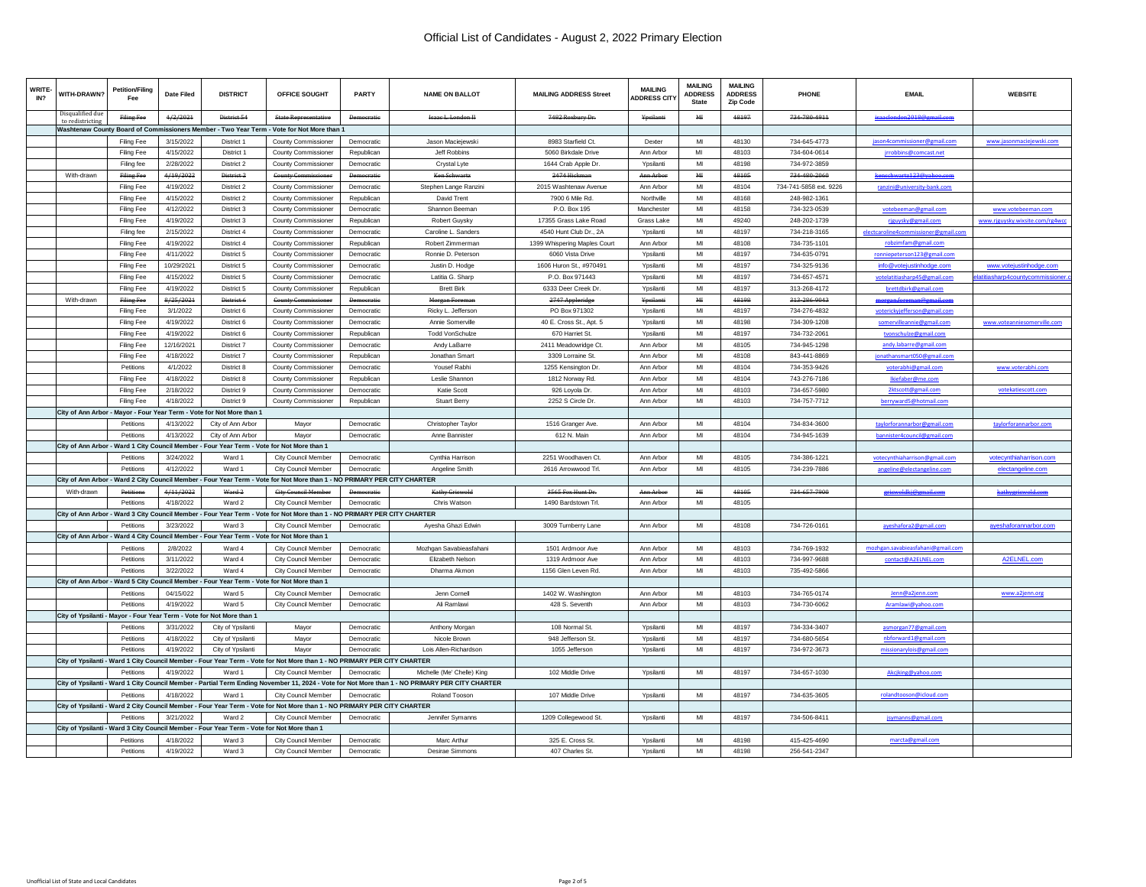| WRITE<br>IN <sub>2</sub> | <b>WITH-DRAWN?</b>                | <b>Petition/Filing</b> | <b>Date Filed</b> | <b>DISTRICT</b>                                                                            | OFFICE SOUGHT                                                                                                            | PARTY             | <b>NAME ON BALLOT</b>                                                                                                                           | <b>MAILING ADDRESS Street</b> | <b>MAILING</b><br><b>ADDRESS CITY</b> | <b>MAILING</b><br><b>ADDRESS</b><br><b>State</b> | <b>MAILING</b><br><b>ADDRESS</b><br><b>Zip Code</b> | PHONE                  | <b>EMAIL</b>                                       | <b>WEBSITE</b>                 |
|--------------------------|-----------------------------------|------------------------|-------------------|--------------------------------------------------------------------------------------------|--------------------------------------------------------------------------------------------------------------------------|-------------------|-------------------------------------------------------------------------------------------------------------------------------------------------|-------------------------------|---------------------------------------|--------------------------------------------------|-----------------------------------------------------|------------------------|----------------------------------------------------|--------------------------------|
|                          | Disqualified due<br>to redistrict | Filing Fee             | 4/2/2021          | District 54                                                                                | <b>State Representative</b>                                                                                              | <b>Democratic</b> | <b>Isaac L. London II</b>                                                                                                                       | 7482 Roxbury Dr.              | Ypsilanti                             | M <sub>H</sub>                                   | 48197                                               | 734-780-4911           | isaaclondon2018@gmail.com                          |                                |
|                          |                                   |                        |                   |                                                                                            | Washtenaw County Board of Commissioners Member - Two Year Term - Vote for Not More than 1                                |                   |                                                                                                                                                 |                               |                                       |                                                  |                                                     |                        |                                                    |                                |
|                          |                                   | Filing Fee             | 3/15/2022         | District 1                                                                                 | County Commissioner                                                                                                      | Democratic        | Jason Maciejewski                                                                                                                               | 8983 Starfield Ct.            | Dexter                                | MI                                               | 48130                                               | 734-645-4773           | jason4commissioner@gmail.com                       | www.jasonmaciejewski.com       |
|                          |                                   | <b>Filing Fee</b>      | 4/15/2022         | District 1                                                                                 | <b>County Commissioner</b>                                                                                               | Republican        | Jeff Robbins                                                                                                                                    | 5060 Birkdale Drive           | Ann Arbor                             | MI                                               | 48103                                               | 734-604-0614           | jrrobbins@comcast.net                              |                                |
|                          |                                   | Filing fee             | 2/28/2022         | District 2                                                                                 | County Commissioner                                                                                                      | Democratic        | Crystal Lyte                                                                                                                                    | 1644 Crab Apple Dr.           | Ypsilanti                             | MI                                               | 48198                                               | 734-972-3859           |                                                    |                                |
|                          | With-drawn                        | Filing Fee             | 4/19/2022         | District <sub>2</sub>                                                                      | County Co                                                                                                                |                   | Ken Schwart:                                                                                                                                    | 2474 Hickman                  | Ann Arbor                             | MI                                               | 48105                                               | 234-480-2060           |                                                    |                                |
|                          |                                   | Filing Fee             | 4/19/2022         | District 2                                                                                 | <b>County Commissioner</b>                                                                                               | Democratic        | Stephen Lange Ranzini                                                                                                                           | 2015 Washtenaw Avenue         | Ann Arbor                             | MI                                               | 48104                                               | 734-741-5858 ext. 9226 | ranzini@university-bank.com                        |                                |
|                          |                                   | Filing Fee             | 4/15/2022         | District 2                                                                                 | County Commissioner                                                                                                      | Republican        | David Trent                                                                                                                                     | 7900 6 Mile Rd.               | Northville                            | MI                                               | 48168                                               | 248-982-1361           |                                                    |                                |
|                          |                                   | Filing Fee             | 4/12/2022         | District 3                                                                                 | County Commissioner                                                                                                      | Democratic        | Shannon Beeman                                                                                                                                  | P.O. Box 195                  | Manchester                            | MI                                               | 48158                                               | 734-323-0539           | votebeeman@gmail.com                               | www.votebeeman.com             |
|                          |                                   | Filing Fee             | 4/19/2022         | District 3                                                                                 | County Commissioner                                                                                                      | Republican        | Robert Guysky                                                                                                                                   | 17355 Grass Lake Road         | Grass Lake                            | MI                                               | 49240                                               | 248-202-1739           | rjguysky@gmail.com                                 | www.rjguysky.wixsite.com/rg4wo |
|                          |                                   | Filing fee             | 2/15/2022         | District 4                                                                                 | County Commissioner                                                                                                      | Democratic        | Caroline L. Sanders                                                                                                                             | 4540 Hunt Club Dr., 2A        | Ypsilanti                             | MI                                               | 48197                                               | 734-218-3165           | electcaroline4commissioner@gmail.com               |                                |
|                          |                                   | Filing Fee             | 4/19/2022         | District 4                                                                                 | County Commissioner                                                                                                      | Republican        | Robert Zimmerman                                                                                                                                | 1399 Whispering Maples Court  | Ann Arbor                             | MI                                               | 48108                                               | 734-735-1101           | robzimfam@gmail.com                                |                                |
|                          |                                   | Filing Fee             | 4/11/2022         | District 5                                                                                 | County Commissioner                                                                                                      | Democratic        | Ronnie D. Peterson                                                                                                                              | 6060 Vista Drive              | Ypsilanti                             | MI                                               | 48197                                               | 734-635-0791           | ronniepeterson123@gmail.com                        |                                |
|                          |                                   | Filing Fee             | 10/29/2021        | District 5                                                                                 | County Commissioner                                                                                                      | Democratic        | Justin D. Hodge                                                                                                                                 | 1606 Huron St., #970491       | Ypsilanti                             | MI                                               | 48197                                               | 734-325-9136           | info@votejustinhodge.com                           | www.votejustinhodge.com        |
|                          |                                   | Filing Fee             | 4/15/2022         | District 5                                                                                 | County Commissioner                                                                                                      | <b>Democratic</b> | Latitia G. Sharp                                                                                                                                | P.O. Box 971443               | Ypsilanti                             | MI                                               | 48197                                               | 734-657-4571           | votelatitiasharp45@gmail.com                       |                                |
|                          |                                   | <b>Filing Fee</b>      | 4/19/2022         | District 5                                                                                 | <b>County Commissioner</b>                                                                                               | Republican        | <b>Brett Birk</b>                                                                                                                               | 6333 Deer Creek Dr.           | Ypsilanti                             | MI                                               | 48197                                               | 313-268-4172           | brettdbirk@gmail.com                               | itiasharp4countycommissioner.c |
|                          | With-drawn                        | <b>Filing Fee</b>      | 8/25/2021         | District 6                                                                                 | <b>County Con</b>                                                                                                        | Democratic        | Morgan Foreman                                                                                                                                  | 2747 Appleridge               | Ypsilanti                             | MI                                               | 48198                                               | 313-286-9043           | morgan.foreman@gmail.com                           |                                |
|                          |                                   | Filing Fee             | 3/1/2022          | District 6                                                                                 | <b>County Commissioner</b>                                                                                               | Democratic        | Ricky L. Jefferson                                                                                                                              | PO Box 971302                 | Ypsilanti                             | MI                                               | 48197                                               | 734-276-4832           | voterickviefferson@gmail.con                       |                                |
|                          |                                   | Filing Fee             | 4/19/2022         | District 6                                                                                 | <b>County Commissioner</b>                                                                                               | Democratic        | Annie Somerville                                                                                                                                | 40 E. Cross St., Apt. 5       | Ypsilanti                             | MI                                               | 48198                                               | 734-309-1208           |                                                    | www.voteanniesomerville.com    |
|                          |                                   | Filing Fee             | 4/19/2022         | District 6                                                                                 | County Commissioner                                                                                                      | Republican        | <b>Todd VonSchulze</b>                                                                                                                          | 670 Harriet St.               | Ypsilanti                             | MI                                               | 48197                                               | 734-732-2061           | somervilleannie@gmail.com<br>tvonschulze@gmail.com |                                |
|                          |                                   |                        | 12/16/2021        | District 7                                                                                 |                                                                                                                          |                   |                                                                                                                                                 |                               | Ann Arbor                             | MI                                               | 48105                                               |                        |                                                    |                                |
|                          |                                   | Filing Fee             |                   |                                                                                            | County Commissioner                                                                                                      | Democratic        | Andy LaBarre                                                                                                                                    | 2411 Meadowridge Ct.          |                                       |                                                  |                                                     | 734-945-1298           | andy.labarre@gmail.com                             |                                |
|                          |                                   | <b>Filing Fee</b>      | 4/18/2022         | District 7                                                                                 | <b>County Commissioner</b>                                                                                               | Republican        | Jonathan Smart                                                                                                                                  | 3309 Lorraine St.             | Ann Arbor                             | MI                                               | 48108                                               | 843-441-8869           | jonathansmart050@gmail.com                         |                                |
|                          |                                   | Petitions              | 4/1/2022          | District 8                                                                                 | County Commissioner                                                                                                      | Democratic        | Yousef Rabhi                                                                                                                                    | 1255 Kensington Dr.           | Ann Arbor                             | MI                                               | 48104                                               | 734-353-9426           | voterabhi@gmail.com                                | www.voterabhi.com              |
|                          |                                   | Filing Fee             | 4/18/2022         | District 8                                                                                 | <b>County Commissioner</b>                                                                                               | Republican        | Leslie Shannon                                                                                                                                  | 1812 Norway Rd.               | Ann Arbor                             | MI                                               | 48104                                               | 743-276-7186           | Ikiefaber@me.con                                   |                                |
|                          |                                   | Filing Fee             | 2/18/2022         | District 9                                                                                 | County Commissioner                                                                                                      | Democratic        | Katie Scott                                                                                                                                     | 926 Loyola Dr.                | Ann Arbor                             | MI                                               | 48103                                               | 734-657-5980           | 2ktscott@gmail.com                                 | votekatiescott.com             |
|                          |                                   | Filing Fee             | 4/18/2022         | District 9                                                                                 | County Commissioner                                                                                                      | Republican        | <b>Stuart Berry</b>                                                                                                                             | 2252 S Circle Dr              | Ann Arbor                             | MI                                               | 48103                                               | 734-757-7712           | berryward5@hotmail.com                             |                                |
|                          |                                   |                        |                   | City of Ann Arbor - Mayor - Four Year Term - Vote for Not More than 1                      |                                                                                                                          |                   |                                                                                                                                                 |                               |                                       |                                                  |                                                     |                        |                                                    |                                |
|                          |                                   | Petitions              | 4/13/2022         | City of Ann Arbor                                                                          | Mayor                                                                                                                    | Democratic        | Christopher Taylor                                                                                                                              | 1516 Granger Ave              | Ann Arbor                             | MI                                               | 48104                                               | 734-834-3600           | taylorforannarbor@gmail.com                        | taylorforannarbor.com          |
|                          |                                   | Petitions              | 4/13/2022         | City of Ann Arbor                                                                          | Mayor                                                                                                                    | Democratic        | Anne Bannister                                                                                                                                  | 612 N. Main                   | Ann Arbor                             | MI                                               | 48104                                               | 734-945-1639           | bannister4council@gmail.com                        |                                |
|                          |                                   |                        |                   | City of Ann Arbor - Ward 1 City Council Member - Four Year Term - Vote for Not More than 1 |                                                                                                                          |                   |                                                                                                                                                 |                               |                                       |                                                  |                                                     |                        |                                                    |                                |
|                          |                                   | Petitions              | 3/24/2022         | Ward 1                                                                                     | City Council Member                                                                                                      | Democratic        | Cynthia Harrison                                                                                                                                | 2251 Woodhaven Ct.            | Ann Arbor                             | MI                                               | 48105                                               | 734-386-1221           | votecynthiaharrison@gmail.com                      |                                |
|                          |                                   | Petitions              | 4/12/2022         | Ward 1                                                                                     | City Council Member                                                                                                      | Democratic        | Angeline Smith                                                                                                                                  | 2616 Arrowwood Trl.           | Ann Arbor                             | MI                                               | 48105                                               | 734-239-7886           | angeline@electangeline.com                         | electangeline.com              |
|                          |                                   |                        |                   |                                                                                            | City of Ann Arbor - Ward 2 City Council Member - Four Year Term - Vote for Not More than 1 - NO PRIMARY PER CITY CHARTER |                   |                                                                                                                                                 |                               |                                       |                                                  |                                                     |                        |                                                    |                                |
|                          | With-drawn                        | Petitions              | 4/11/2022         | Mard <sub>2</sub>                                                                          | City Council Momber                                                                                                      | Democratic        | Kathy Griswold                                                                                                                                  | 3565 Fox Hunt Dr.             | Ann Arbor                             | MI.                                              | 49105                                               | 734-657-7900           | griswoldkj@gmail.com                               | <u>kathveriswold.com</u>       |
|                          |                                   | Petitions              | 4/18/2022         | Ward 2                                                                                     | <b>City Council Member</b>                                                                                               | Democratic        | Chris Watson                                                                                                                                    | 1490 Bardstown Trl.           | Ann Arbor                             | MI                                               | 48105                                               |                        |                                                    |                                |
|                          |                                   |                        |                   |                                                                                            | City of Ann Arbor - Ward 3 City Council Member - Four Year Term - Vote for Not More than 1 - NO PRIMARY PER CITY CHARTER |                   |                                                                                                                                                 |                               |                                       |                                                  |                                                     |                        |                                                    |                                |
|                          |                                   | Petitions              | 3/23/2022         | Ward 3                                                                                     | City Council Member                                                                                                      | <b>Democratic</b> | Avesha Ghazi Edwin                                                                                                                              | 3009 Turnberry Lane           | Ann Arbor                             | MI                                               | 48108                                               | 734-726-0161           | ayeshafora2@gmail.com                              | ayeshaforannarbor.com          |
|                          |                                   |                        |                   | City of Ann Arbor - Ward 4 City Council Member - Four Year Term - Vote for Not More than 1 |                                                                                                                          |                   |                                                                                                                                                 |                               |                                       |                                                  |                                                     |                        |                                                    |                                |
|                          |                                   | Petitions              | 2/8/2022          | Ward 4                                                                                     | <b>City Council Member</b>                                                                                               | <b>Democratic</b> | Mozhgan Savabieasfahani                                                                                                                         | 1501 Ardmoor Ave              | Ann Arbor                             | MI                                               | 48103                                               | 734-769-1932           | mozhgan.savabieasfahani@gmail.com                  |                                |
|                          |                                   | Petitions              | 3/11/2022         | Ward 4                                                                                     | <b>City Council Member</b>                                                                                               | <b>Democratic</b> | <b>Elizabeth Nelson</b>                                                                                                                         | 1319 Ardmoor Ave              | Ann Arbor                             | MI                                               | 48103                                               | 734-997-9688           | contact@A2ELNEL.com                                | A2ELNEL.com                    |
|                          |                                   | Petitions              | 3/22/2022         | Ward 4                                                                                     | <b>City Council Member</b>                                                                                               | Democratic        | Dharma Akmor                                                                                                                                    | 1156 Glen Leven Rd.           | Ann Arbor                             | MI                                               | 48103                                               | 735-492-5866           |                                                    |                                |
|                          |                                   |                        |                   | City of Ann Arbor - Ward 5 City Council Member - Four Year Term - Vote for Not More than 1 |                                                                                                                          |                   |                                                                                                                                                 |                               |                                       |                                                  |                                                     |                        |                                                    |                                |
|                          |                                   | Petitions              | 04/15/022         | Ward 5                                                                                     | <b>City Council Member</b>                                                                                               | Democratic        | Jenn Cornel                                                                                                                                     | 1402 W. Washington            | Ann Arbor                             | MI                                               | 48103                                               | 734-765-0174           | Jenn@a2ienn.com                                    | www.a2jenn.org                 |
|                          |                                   | Petitions              | 4/19/2022         | Ward 5                                                                                     | City Council Member                                                                                                      | Democratic        | Ali Ramlawi                                                                                                                                     | 428 S. Seventh                | Ann Arbor                             | MI                                               | 48103                                               | 734-730-6062           | Aramlawi@yahoo.com                                 |                                |
|                          |                                   |                        |                   | City of Ypsilanti - Mayor - Four Year Term - Vote for Not More than 1                      |                                                                                                                          |                   |                                                                                                                                                 |                               |                                       |                                                  |                                                     |                        |                                                    |                                |
|                          |                                   | Petitions              | 3/31/2022         | City of Ypsilanti                                                                          | Mayor                                                                                                                    | Democratic        | Anthony Morgan                                                                                                                                  | 108 Normal St.                | Ypsilanti                             | MI                                               | 48197                                               | 734-334-3407           | asmorgan77@gmail.com                               |                                |
|                          |                                   | Petitions              | 4/18/2022         | City of Ypsilanti                                                                          | Mayor                                                                                                                    | Democratic        | Nicole Brown                                                                                                                                    | 948 Jefferson St              | Ypsilanti                             | MI                                               | 48197                                               | 734-680-5654           | nbforward1@gmail.com                               |                                |
|                          |                                   | Petitions              | 4/19/2022         | City of Ypsilanti                                                                          | Mayor                                                                                                                    | Democratic        | Lois Allen-Richardson                                                                                                                           | 1055 Jefferson                | Ypsilanti                             | MI                                               | 48197                                               | 734-972-3673           | missionarylois@gmail.com                           |                                |
|                          |                                   |                        |                   |                                                                                            | City of Ypsilanti - Ward 1 City Council Member - Four Year Term - Vote for Not More than 1 - NO PRIMARY PER CITY CHARTER |                   |                                                                                                                                                 |                               |                                       |                                                  |                                                     |                        |                                                    |                                |
|                          |                                   | Petitions              | 4/19/2022         | Ward 1                                                                                     | City Council Member                                                                                                      | Democratic        | Michelle (Me' Chelle) King                                                                                                                      | 102 Middle Drive              | Ypsilanti                             | MI                                               | 48197                                               | 734-657-1030           | Akcjking@yahoo.com                                 |                                |
|                          |                                   |                        |                   |                                                                                            |                                                                                                                          |                   | City of Ypsilanti - Ward 1 City Council Member - Partial Term Ending November 11, 2024 - Vote for Not More than 1 - NO PRIMARY PER CITY CHARTER |                               |                                       |                                                  |                                                     |                        |                                                    |                                |
|                          |                                   | Petitions              | 4/18/2022         | Ward 1                                                                                     | <b>City Council Member</b>                                                                                               | Democratic        | <b>Roland Tooson</b>                                                                                                                            | 107 Middle Drive              | Ypsilanti                             | MI                                               | 48197                                               | 734-635-3605           | rolandtooson@icloud.com                            |                                |
|                          |                                   |                        |                   |                                                                                            | City of Ypsilanti - Ward 2 City Council Member - Four Year Term - Vote for Not More than 1 - NO PRIMARY PER CITY CHARTER |                   |                                                                                                                                                 |                               |                                       |                                                  |                                                     |                        |                                                    |                                |
|                          |                                   |                        | 3/21/2022         | Ward 2                                                                                     | City Council Member                                                                                                      | Democratic        | Jennifer Symanns                                                                                                                                | 1209 Collegewood St.          | Ypsilanti                             | MI                                               | 48197                                               | 734-506-8411           | jsymanns@gmail.com                                 |                                |
|                          |                                   |                        |                   | City of Ypsilanti - Ward 3 City Council Member - Four Year Term - Vote for Not More than 1 |                                                                                                                          |                   |                                                                                                                                                 |                               |                                       |                                                  |                                                     |                        |                                                    |                                |
|                          |                                   | Petitions              | 4/18/2022         | Ward 3                                                                                     | City Council Member                                                                                                      | Democratic        | Marc Arthur                                                                                                                                     | 325 E. Cross St               | Ypsilanti                             | MI                                               | 48198                                               | 415-425-4690           | marcta@gmail.com                                   |                                |
|                          |                                   | Petitions              | 4/19/2022         | Ward 3                                                                                     | City Council Member                                                                                                      | Democratic        | <b>Desirae Simmons</b>                                                                                                                          | 407 Charles St.               | Ypsilanti                             | MI                                               | 48198                                               | 256-541-2347           |                                                    |                                |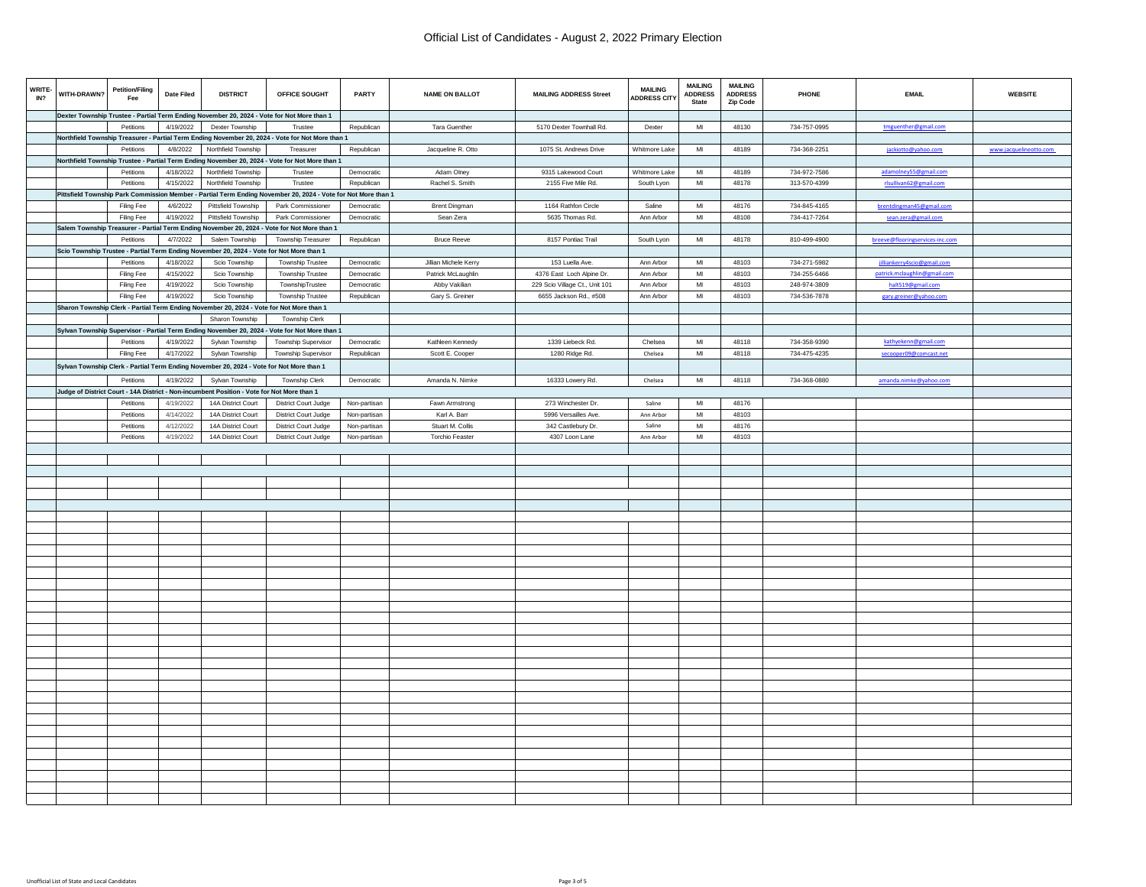| WRITE-<br>IN? | WITH-DRAWN? | <b>Petition/Filing</b><br>Fee | Date Filed | <b>DISTRICT</b>                                                                            | OFFICE SOUGHT                                                                                                 | PARTY        | <b>NAME ON BALLOT</b> | <b>MAILING ADDRESS Street</b>  | <b>MAILING</b><br><b>ADDRESS CITY</b> | <b>MAILING</b><br><b>ADDRESS</b><br><b>State</b> | <b>MAILING</b><br><b>ADDRESS</b><br><b>Zip Code</b> | PHONE        | <b>EMAIL</b>                    | <b>WEBSITE</b>         |
|---------------|-------------|-------------------------------|------------|--------------------------------------------------------------------------------------------|---------------------------------------------------------------------------------------------------------------|--------------|-----------------------|--------------------------------|---------------------------------------|--------------------------------------------------|-----------------------------------------------------|--------------|---------------------------------|------------------------|
|               |             |                               |            |                                                                                            | Dexter Township Trustee - Partial Term Ending November 20, 2024 - Vote for Not More than 1                    |              |                       |                                |                                       |                                                  |                                                     |              |                                 |                        |
|               |             | Petitions                     | 4/19/2022  | Dexter Township                                                                            | Trustee                                                                                                       | Republican   | Tara Guenther         | 5170 Dexter Townhall Rd.       | Dexter                                | MI                                               | 48130                                               | 734-757-0995 | tmguenther@gmail.com            |                        |
|               |             |                               |            |                                                                                            | Northfield Township Treasurer - Partial Term Ending November 20, 2024 - Vote for Not More than 1              |              |                       |                                |                                       |                                                  |                                                     |              |                                 |                        |
|               |             | Petitions                     | 4/8/2022   | Northfield Township                                                                        | Treasurer                                                                                                     | Republican   | Jacqueline R. Otto    | 1075 St. Andrews Drive         | Whitmore Lake                         | M <sub>l</sub>                                   | 48189                                               | 734-368-2251 | jackiotto@yahoo.com             | www.jacquelineotto.com |
|               |             |                               |            |                                                                                            | Northfield Township Trustee - Partial Term Ending November 20, 2024 - Vote for Not More than 1                |              |                       |                                |                                       |                                                  |                                                     |              |                                 |                        |
|               |             | Petitions                     | 4/18/2022  | Northfield Township                                                                        | Trustee                                                                                                       | Democratic   | Adam Olney            | 9315 Lakewood Court            | Whitmore Lake                         | MI                                               | 48189                                               | 734-972-7586 | adamolney55@gmail.com           |                        |
|               |             | Petitions                     | 4/15/2022  | Northfield Township                                                                        | Trustee                                                                                                       | Republican   | Rachel S. Smith       | 2155 Five Mile Rd.             | South Lyon                            | $\mathsf{MI}$                                    | 48178                                               | 313-570-4399 | rlsullivan62@gmail.com          |                        |
|               |             |                               |            |                                                                                            | Pittsfield Township Park Commission Member - Partial Term Ending November 20, 2024 - Vote for Not More than 1 |              |                       |                                |                                       |                                                  |                                                     |              |                                 |                        |
|               |             | Filing Fee                    | 4/6/2022   | Pittsfield Township                                                                        | Park Commissioner                                                                                             | Democratic   | <b>Brent Dingman</b>  | 1164 Rathfon Circle            | Saline                                | MI                                               | 48176                                               | 734-845-4165 | brentdingman45@gmail.com        |                        |
|               |             |                               | 4/19/2022  | Pittsfield Township                                                                        | Park Commissioner                                                                                             | Democratic   |                       | 5635 Thomas Rd.                | Ann Arbor                             | MI                                               | 48108                                               |              |                                 |                        |
|               |             | Filing Fee                    |            |                                                                                            |                                                                                                               |              | Sean Zera             |                                |                                       |                                                  |                                                     | 734-417-7264 | sean.zera@gmail.com             |                        |
|               |             |                               |            |                                                                                            | Salem Township Treasurer - Partial Term Ending November 20, 2024 - Vote for Not More than 1                   |              |                       |                                |                                       |                                                  |                                                     |              |                                 |                        |
|               |             | Petitions                     | 4/7/2022   | Salem Township                                                                             | Township Treasurer                                                                                            | Republican   | <b>Bruce Reeve</b>    | 8157 Pontiac Trail             | South Lyon                            | MI                                               | 48178                                               | 810-499-4900 | breeve@flooringservices-inc.com |                        |
|               |             |                               |            | Scio Township Trustee - Partial Term Ending November 20, 2024 - Vote for Not More than 1   |                                                                                                               |              |                       |                                |                                       |                                                  |                                                     |              |                                 |                        |
|               |             | Petitions                     | 4/18/2022  | Scio Township                                                                              | <b>Township Trustee</b>                                                                                       | Democratic   | Jillian Michele Kerry | 153 Luella Ave.                | Ann Arbor                             | MI                                               | 48103                                               | 734-271-5982 | jilliankerry4scio@gmail.com     |                        |
|               |             | Filing Fee                    | 4/15/2022  | Scio Township                                                                              | Township Trustee                                                                                              | Democratic   | Patrick McLaughlin    | 4376 East Loch Alpine Dr.      | Ann Arbor                             | MI                                               | 48103                                               | 734-255-6466 | patrick.mclaughlin@gmail.com    |                        |
|               |             | Filing Fee                    | 4/19/2022  | Scio Township                                                                              | TownshipTrustee                                                                                               | Democratic   | Abby Vakilian         | 229 Scio Village Ct., Unit 101 | Ann Arbor                             | MI                                               | 48103                                               | 248-974-3809 | halt519@gmail.com               |                        |
|               |             | Filing Fee                    | 4/19/2022  | Scio Township                                                                              | Township Trustee                                                                                              | Republican   | Gary S. Greiner       | 6655 Jackson Rd., #508         | Ann Arbor                             | $\mathsf{MI}$                                    | 48103                                               | 734-536-7878 | gary.greiner@yahoo.com          |                        |
|               |             |                               |            | Sharon Township Clerk - Partial Term Ending November 20, 2024 - Vote for Not More than 1   |                                                                                                               |              |                       |                                |                                       |                                                  |                                                     |              |                                 |                        |
|               |             |                               |            | Sharon Township                                                                            | Township Clerk                                                                                                |              |                       |                                |                                       |                                                  |                                                     |              |                                 |                        |
|               |             |                               |            |                                                                                            | Sylvan Township Supervisor - Partial Term Ending November 20, 2024 - Vote for Not More than 1                 |              |                       |                                |                                       |                                                  |                                                     |              |                                 |                        |
|               |             | Petitions                     | 4/19/2022  | Sylvan Township                                                                            | Township Supervisor                                                                                           | Democratic   | Kathleen Kennedy      | 1339 Liebeck Rd.               | Chelsea                               | MI                                               | 48118                                               | 734-358-9390 | kathyekenn@gmail.com            |                        |
|               |             | Filing Fee                    | 4/17/2022  | Sylvan Township                                                                            | Township Supervisor                                                                                           | Republican   | Scott E. Cooper       | 1280 Ridge Rd.                 | Chelsea                               | $\mathsf{M} \mathsf{I}$                          | 48118                                               | 734-475-4235 | secooper09@comcast.net          |                        |
|               |             |                               |            | Sylvan Township Clerk - Partial Term Ending November 20, 2024 - Vote for Not More than 1   |                                                                                                               |              |                       |                                |                                       |                                                  |                                                     |              |                                 |                        |
|               |             |                               |            |                                                                                            |                                                                                                               |              |                       |                                |                                       |                                                  |                                                     |              |                                 |                        |
|               |             | Petitions                     | 4/19/2022  | Sylvan Township                                                                            | Township Clerk                                                                                                | Democratic   | Amanda N. Nimke       | 16333 Lowery Rd.               | Chelsea                               | MI                                               | 48118                                               | 734-368-0880 | amanda.nimke@yahoo.com          |                        |
|               |             |                               |            | Judge of District Court - 14A District - Non-incumbent Position - Vote for Not More than 1 |                                                                                                               |              |                       |                                |                                       |                                                  |                                                     |              |                                 |                        |
|               |             | Petitions                     | 4/19/2022  | 14A District Court                                                                         | District Court Judge                                                                                          | Non-partisan | Fawn Armstrong        | 273 Winchester Dr.             | Saline                                | MI                                               | 48176                                               |              |                                 |                        |
|               |             | Petitions                     | 4/14/2022  | 14A District Court                                                                         | District Court Judge                                                                                          | Non-partisan | Karl A. Barr          | 5996 Versailles Ave.           | Ann Arbor                             | MI                                               | 48103                                               |              |                                 |                        |
|               |             | Petitions                     | 4/12/2022  | 14A District Court                                                                         | <b>District Court Judge</b>                                                                                   | Non-partisan | Stuart M. Collis      | 342 Castlebury Dr.             | Saline                                | MI                                               | 48176                                               |              |                                 |                        |
|               |             | Petitions                     | 4/19/2022  | 14A District Court                                                                         | District Court Judge                                                                                          | Non-partisan | Torchio Feaster       | 4307 Loon Lane                 | Ann Arbor                             | $\mathsf{MI}$                                    | 48103                                               |              |                                 |                        |
|               |             |                               |            |                                                                                            |                                                                                                               |              |                       |                                |                                       |                                                  |                                                     |              |                                 |                        |
|               |             |                               |            |                                                                                            |                                                                                                               |              |                       |                                |                                       |                                                  |                                                     |              |                                 |                        |
|               |             |                               |            |                                                                                            |                                                                                                               |              |                       |                                |                                       |                                                  |                                                     |              |                                 |                        |
|               |             |                               |            |                                                                                            |                                                                                                               |              |                       |                                |                                       |                                                  |                                                     |              |                                 |                        |
|               |             |                               |            |                                                                                            |                                                                                                               |              |                       |                                |                                       |                                                  |                                                     |              |                                 |                        |
|               |             |                               |            |                                                                                            |                                                                                                               |              |                       |                                |                                       |                                                  |                                                     |              |                                 |                        |
|               |             |                               |            |                                                                                            |                                                                                                               |              |                       |                                |                                       |                                                  |                                                     |              |                                 |                        |
|               |             |                               |            |                                                                                            |                                                                                                               |              |                       |                                |                                       |                                                  |                                                     |              |                                 |                        |
|               |             |                               |            |                                                                                            |                                                                                                               |              |                       |                                |                                       |                                                  |                                                     |              |                                 |                        |
|               |             |                               |            |                                                                                            |                                                                                                               |              |                       |                                |                                       |                                                  |                                                     |              |                                 |                        |
|               |             |                               |            |                                                                                            |                                                                                                               |              |                       |                                |                                       |                                                  |                                                     |              |                                 |                        |
|               |             |                               |            |                                                                                            |                                                                                                               |              |                       |                                |                                       |                                                  |                                                     |              |                                 |                        |
|               |             |                               |            |                                                                                            |                                                                                                               |              |                       |                                |                                       |                                                  |                                                     |              |                                 |                        |
|               |             |                               |            |                                                                                            |                                                                                                               |              |                       |                                |                                       |                                                  |                                                     |              |                                 |                        |
|               |             |                               |            |                                                                                            |                                                                                                               |              |                       |                                |                                       |                                                  |                                                     |              |                                 |                        |
|               |             |                               |            |                                                                                            |                                                                                                               |              |                       |                                |                                       |                                                  |                                                     |              |                                 |                        |
|               |             |                               |            |                                                                                            |                                                                                                               |              |                       |                                |                                       |                                                  |                                                     |              |                                 |                        |
|               |             |                               |            |                                                                                            |                                                                                                               |              |                       |                                |                                       |                                                  |                                                     |              |                                 |                        |
|               |             |                               |            |                                                                                            |                                                                                                               |              |                       |                                |                                       |                                                  |                                                     |              |                                 |                        |
|               |             |                               |            |                                                                                            |                                                                                                               |              |                       |                                |                                       |                                                  |                                                     |              |                                 |                        |
|               |             |                               |            |                                                                                            |                                                                                                               |              |                       |                                |                                       |                                                  |                                                     |              |                                 |                        |
|               |             |                               |            |                                                                                            |                                                                                                               |              |                       |                                |                                       |                                                  |                                                     |              |                                 |                        |
|               |             |                               |            |                                                                                            |                                                                                                               |              |                       |                                |                                       |                                                  |                                                     |              |                                 |                        |
|               |             |                               |            |                                                                                            |                                                                                                               |              |                       |                                |                                       |                                                  |                                                     |              |                                 |                        |
|               |             |                               |            |                                                                                            |                                                                                                               |              |                       |                                |                                       |                                                  |                                                     |              |                                 |                        |
|               |             |                               |            |                                                                                            |                                                                                                               |              |                       |                                |                                       |                                                  |                                                     |              |                                 |                        |
|               |             |                               |            |                                                                                            |                                                                                                               |              |                       |                                |                                       |                                                  |                                                     |              |                                 |                        |
|               |             |                               |            |                                                                                            |                                                                                                               |              |                       |                                |                                       |                                                  |                                                     |              |                                 |                        |
|               |             |                               |            |                                                                                            |                                                                                                               |              |                       |                                |                                       |                                                  |                                                     |              |                                 |                        |
|               |             |                               |            |                                                                                            |                                                                                                               |              |                       |                                |                                       |                                                  |                                                     |              |                                 |                        |
|               |             |                               |            |                                                                                            |                                                                                                               |              |                       |                                |                                       |                                                  |                                                     |              |                                 |                        |
|               |             |                               |            |                                                                                            |                                                                                                               |              |                       |                                |                                       |                                                  |                                                     |              |                                 |                        |
|               |             |                               |            |                                                                                            |                                                                                                               |              |                       |                                |                                       |                                                  |                                                     |              |                                 |                        |
|               |             |                               |            |                                                                                            |                                                                                                               |              |                       |                                |                                       |                                                  |                                                     |              |                                 |                        |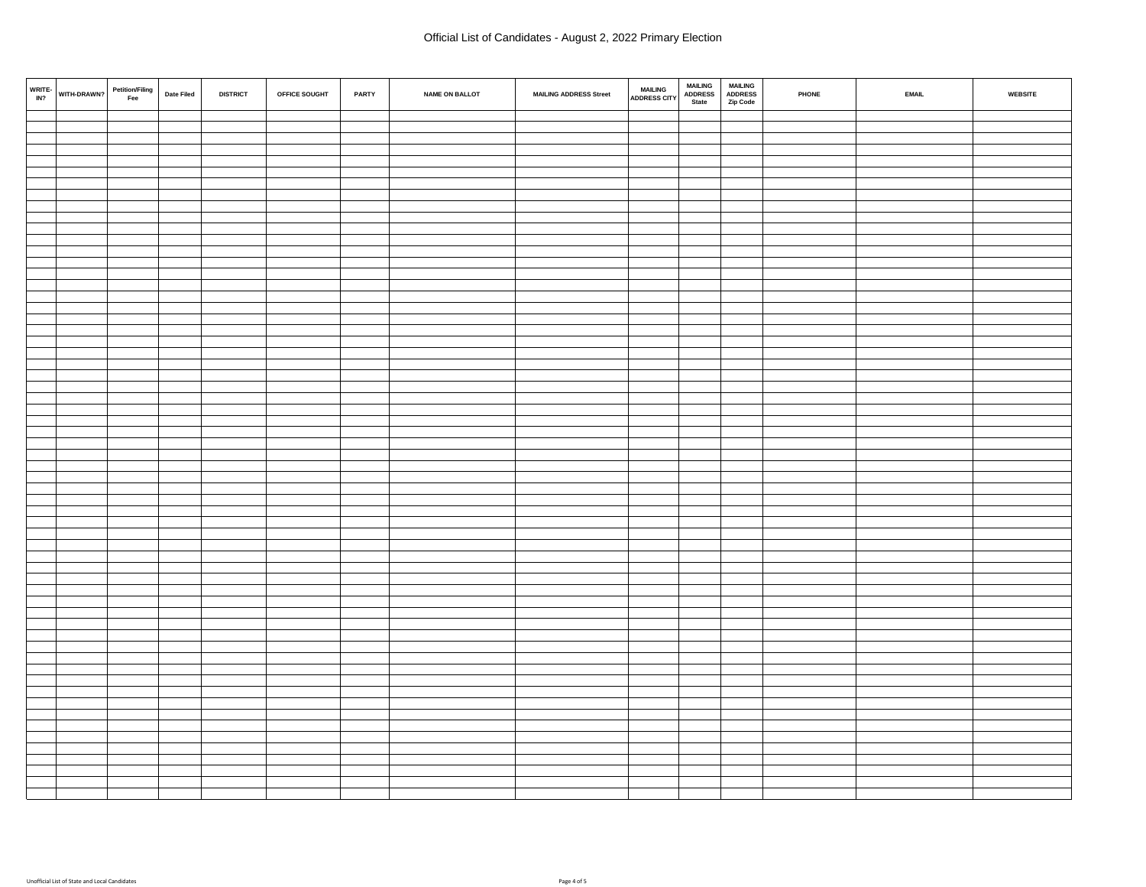| WRITE- $_{IN2}$ | Petition/Filing<br>Fee<br>WITH-DRAWN? | Date Filed | <b>DISTRICT</b> | OFFICE SOUGHT | PARTY | <b>NAME ON BALLOT</b> | <b>MAILING ADDRESS Street</b> | <b>MAILING<br/>ADDRESS CITY</b> | <b>MAILING<br/>ADDRESS</b><br><b>MAILING<br/>ADDRESS</b><br>State<br>Zip Code | PHONE | <b>EMAIL</b> | WEBSITE |
|-----------------|---------------------------------------|------------|-----------------|---------------|-------|-----------------------|-------------------------------|---------------------------------|-------------------------------------------------------------------------------|-------|--------------|---------|
|                 |                                       |            |                 |               |       |                       |                               |                                 |                                                                               |       |              |         |
|                 |                                       |            |                 |               |       |                       |                               |                                 |                                                                               |       |              |         |
|                 |                                       |            |                 |               |       |                       |                               |                                 |                                                                               |       |              |         |
|                 |                                       |            |                 |               |       |                       |                               |                                 |                                                                               |       |              |         |
|                 |                                       |            |                 |               |       |                       |                               |                                 |                                                                               |       |              |         |
|                 |                                       |            |                 |               |       |                       |                               |                                 |                                                                               |       |              |         |
|                 |                                       |            |                 |               |       |                       |                               |                                 |                                                                               |       |              |         |
|                 |                                       |            |                 |               |       |                       |                               |                                 |                                                                               |       |              |         |
|                 |                                       |            |                 |               |       |                       |                               |                                 |                                                                               |       |              |         |
|                 |                                       |            |                 |               |       |                       |                               |                                 |                                                                               |       |              |         |
|                 |                                       |            |                 |               |       |                       |                               |                                 |                                                                               |       |              |         |
|                 |                                       |            |                 |               |       |                       |                               |                                 |                                                                               |       |              |         |
|                 |                                       |            |                 |               |       |                       |                               |                                 |                                                                               |       |              |         |
|                 |                                       |            |                 |               |       |                       |                               |                                 |                                                                               |       |              |         |
|                 |                                       |            |                 |               |       |                       |                               |                                 |                                                                               |       |              |         |
|                 |                                       |            |                 |               |       |                       |                               |                                 |                                                                               |       |              |         |
|                 |                                       |            |                 |               |       |                       |                               |                                 |                                                                               |       |              |         |
|                 |                                       |            |                 |               |       |                       |                               |                                 |                                                                               |       |              |         |
|                 |                                       |            |                 |               |       |                       |                               |                                 |                                                                               |       |              |         |
|                 |                                       |            |                 |               |       |                       |                               |                                 |                                                                               |       |              |         |
|                 |                                       |            |                 |               |       |                       |                               |                                 |                                                                               |       |              |         |
|                 |                                       |            |                 |               |       |                       |                               |                                 |                                                                               |       |              |         |
|                 |                                       |            |                 |               |       |                       |                               |                                 |                                                                               |       |              |         |
|                 |                                       |            |                 |               |       |                       |                               |                                 |                                                                               |       |              |         |
|                 |                                       |            |                 |               |       |                       |                               |                                 |                                                                               |       |              |         |
|                 |                                       |            |                 |               |       |                       |                               |                                 |                                                                               |       |              |         |
|                 |                                       |            |                 |               |       |                       |                               |                                 |                                                                               |       |              |         |
|                 |                                       |            |                 |               |       |                       |                               |                                 |                                                                               |       |              |         |
|                 |                                       |            |                 |               |       |                       |                               |                                 |                                                                               |       |              |         |
|                 |                                       |            |                 |               |       |                       |                               |                                 |                                                                               |       |              |         |
|                 |                                       |            |                 |               |       |                       |                               |                                 |                                                                               |       |              |         |
|                 |                                       |            |                 |               |       |                       |                               |                                 |                                                                               |       |              |         |
|                 |                                       |            |                 |               |       |                       |                               |                                 |                                                                               |       |              |         |
|                 |                                       |            |                 |               |       |                       |                               |                                 |                                                                               |       |              |         |
|                 |                                       |            |                 |               |       |                       |                               |                                 |                                                                               |       |              |         |
|                 |                                       |            |                 |               |       |                       |                               |                                 |                                                                               |       |              |         |
|                 |                                       |            |                 |               |       |                       |                               |                                 |                                                                               |       |              |         |
|                 |                                       |            |                 |               |       |                       |                               |                                 |                                                                               |       |              |         |
|                 |                                       |            |                 |               |       |                       |                               |                                 |                                                                               |       |              |         |
|                 |                                       |            |                 |               |       |                       |                               |                                 |                                                                               |       |              |         |
|                 |                                       |            |                 |               |       |                       |                               |                                 |                                                                               |       |              |         |
|                 |                                       |            |                 |               |       |                       |                               |                                 |                                                                               |       |              |         |
|                 |                                       |            |                 |               |       |                       |                               |                                 |                                                                               |       |              |         |
|                 |                                       |            |                 |               |       |                       |                               |                                 |                                                                               |       |              |         |
|                 |                                       |            |                 |               |       |                       |                               |                                 |                                                                               |       |              |         |
|                 |                                       |            |                 |               |       |                       |                               |                                 |                                                                               |       |              |         |
|                 |                                       |            |                 |               |       |                       |                               |                                 |                                                                               |       |              |         |
|                 |                                       |            |                 |               |       |                       |                               |                                 |                                                                               |       |              |         |
|                 |                                       |            |                 |               |       |                       |                               |                                 |                                                                               |       |              |         |
|                 |                                       |            |                 |               |       |                       |                               |                                 |                                                                               |       |              |         |
|                 |                                       |            |                 |               |       |                       |                               |                                 |                                                                               |       |              |         |
|                 |                                       |            |                 |               |       |                       |                               |                                 |                                                                               |       |              |         |
|                 |                                       |            |                 |               |       |                       |                               |                                 |                                                                               |       |              |         |
|                 |                                       |            |                 |               |       |                       |                               |                                 |                                                                               |       |              |         |
|                 |                                       |            |                 |               |       |                       |                               |                                 |                                                                               |       |              |         |
|                 |                                       |            |                 |               |       |                       |                               |                                 |                                                                               |       |              |         |
|                 |                                       |            |                 |               |       |                       |                               |                                 |                                                                               |       |              |         |
|                 |                                       |            |                 |               |       |                       |                               |                                 |                                                                               |       |              |         |